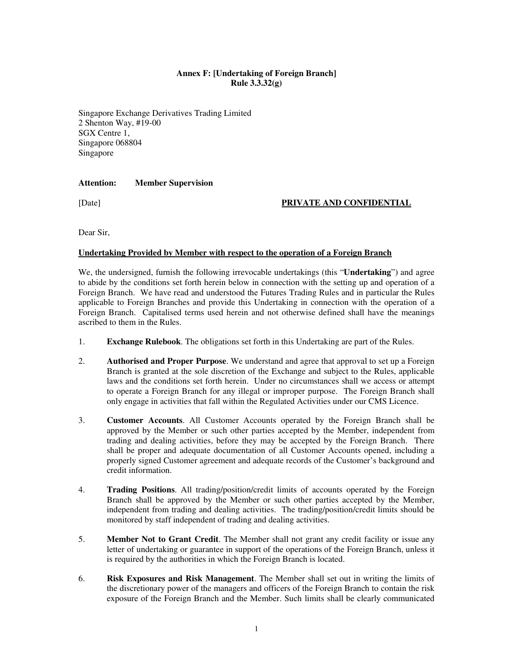## **Annex F: [Undertaking of Foreign Branch] Rule 3.3.32(g)**

Singapore Exchange Derivatives Trading Limited 2 Shenton Way, #19-00 SGX Centre 1, Singapore 068804 Singapore

#### **Attention: Member Supervision**

#### [Date] **PRIVATE AND CONFIDENTIAL**

Dear Sir,

#### **Undertaking Provided by Member with respect to the operation of a Foreign Branch**

We, the undersigned, furnish the following irrevocable undertakings (this "**Undertaking**") and agree to abide by the conditions set forth herein below in connection with the setting up and operation of a Foreign Branch. We have read and understood the Futures Trading Rules and in particular the Rules applicable to Foreign Branches and provide this Undertaking in connection with the operation of a Foreign Branch. Capitalised terms used herein and not otherwise defined shall have the meanings ascribed to them in the Rules.

- 1. **Exchange Rulebook**. The obligations set forth in this Undertaking are part of the Rules.
- 2. **Authorised and Proper Purpose**. We understand and agree that approval to set up a Foreign Branch is granted at the sole discretion of the Exchange and subject to the Rules, applicable laws and the conditions set forth herein. Under no circumstances shall we access or attempt to operate a Foreign Branch for any illegal or improper purpose. The Foreign Branch shall only engage in activities that fall within the Regulated Activities under our CMS Licence.
- 3. **Customer Accounts**. All Customer Accounts operated by the Foreign Branch shall be approved by the Member or such other parties accepted by the Member, independent from trading and dealing activities, before they may be accepted by the Foreign Branch. There shall be proper and adequate documentation of all Customer Accounts opened, including a properly signed Customer agreement and adequate records of the Customer's background and credit information.
- 4. **Trading Positions**. All trading/position/credit limits of accounts operated by the Foreign Branch shall be approved by the Member or such other parties accepted by the Member, independent from trading and dealing activities. The trading/position/credit limits should be monitored by staff independent of trading and dealing activities.
- 5. **Member Not to Grant Credit**. The Member shall not grant any credit facility or issue any letter of undertaking or guarantee in support of the operations of the Foreign Branch, unless it is required by the authorities in which the Foreign Branch is located.
- 6. **Risk Exposures and Risk Management**. The Member shall set out in writing the limits of the discretionary power of the managers and officers of the Foreign Branch to contain the risk exposure of the Foreign Branch and the Member. Such limits shall be clearly communicated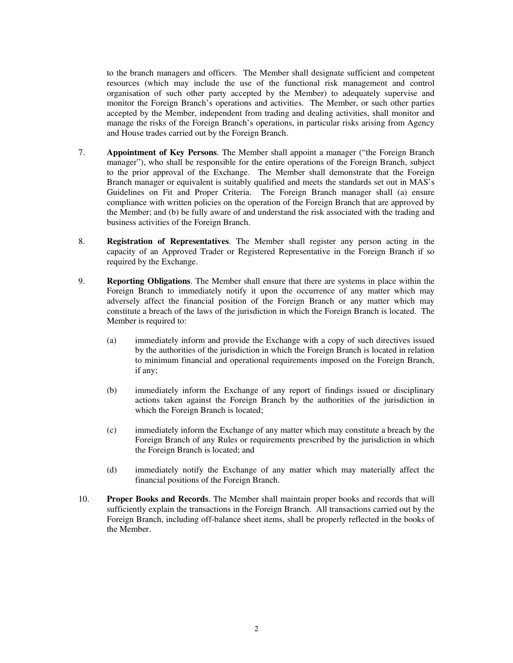to the branch managers and officers. The Member shall designate sufficient and competent resources (which may include the use of the functional risk management and control organisation of such other party accepted by the Member) to adequately supervise and monitor the Foreign Branch's operations and activities. The Member, or such other parties accepted by the Member, independent from trading and dealing activities, shall monitor and manage the risks of the Foreign Branch's operations, in particular risks arising from Agency and House trades carried out by the Foreign Branch.

- 7. **Appointment of Key Persons**. The Member shall appoint a manager ("the Foreign Branch manager"), who shall be responsible for the entire operations of the Foreign Branch, subject to the prior approval of the Exchange. The Member shall demonstrate that the Foreign Branch manager or equivalent is suitably qualified and meets the standards set out in MAS's Guidelines on Fit and Proper Criteria. The Foreign Branch manager shall (a) ensure compliance with written policies on the operation of the Foreign Branch that are approved by the Member; and (b) be fully aware of and understand the risk associated with the trading and business activities of the Foreign Branch.
- 8. **Registration of Representatives**. The Member shall register any person acting in the capacity of an Approved Trader or Registered Representative in the Foreign Branch if so required by the Exchange.
- 9. **Reporting Obligations**. The Member shall ensure that there are systems in place within the Foreign Branch to immediately notify it upon the occurrence of any matter which may adversely affect the financial position of the Foreign Branch or any matter which may constitute a breach of the laws of the jurisdiction in which the Foreign Branch is located. The Member is required to:
	- (a) immediately inform and provide the Exchange with a copy of such directives issued by the authorities of the jurisdiction in which the Foreign Branch is located in relation to minimum financial and operational requirements imposed on the Foreign Branch, if any;
	- (b) immediately inform the Exchange of any report of findings issued or disciplinary actions taken against the Foreign Branch by the authorities of the jurisdiction in which the Foreign Branch is located;
	- (c) immediately inform the Exchange of any matter which may constitute a breach by the Foreign Branch of any Rules or requirements prescribed by the jurisdiction in which the Foreign Branch is located; and
	- (d) immediately notify the Exchange of any matter which may materially affect the financial positions of the Foreign Branch.
- 10. **Proper Books and Records**. The Member shall maintain proper books and records that will sufficiently explain the transactions in the Foreign Branch. All transactions carried out by the Foreign Branch, including off-balance sheet items, shall be properly reflected in the books of the Member.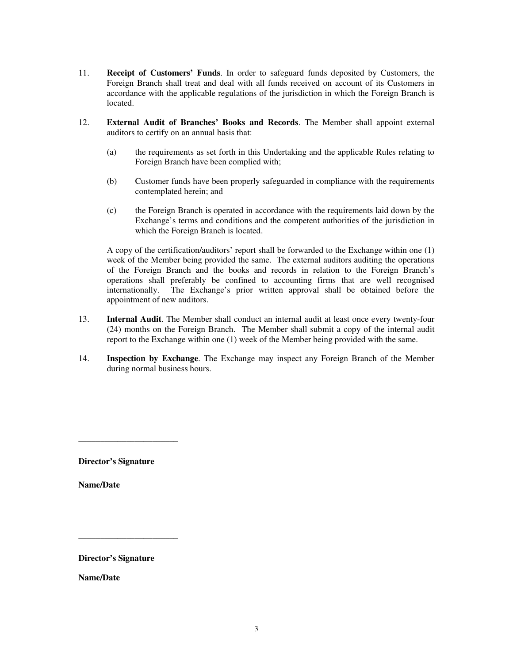- 11. **Receipt of Customers' Funds**. In order to safeguard funds deposited by Customers, the Foreign Branch shall treat and deal with all funds received on account of its Customers in accordance with the applicable regulations of the jurisdiction in which the Foreign Branch is located.
- 12. **External Audit of Branches' Books and Records**. The Member shall appoint external auditors to certify on an annual basis that:
	- (a) the requirements as set forth in this Undertaking and the applicable Rules relating to Foreign Branch have been complied with;
	- (b) Customer funds have been properly safeguarded in compliance with the requirements contemplated herein; and
	- (c) the Foreign Branch is operated in accordance with the requirements laid down by the Exchange's terms and conditions and the competent authorities of the jurisdiction in which the Foreign Branch is located.

A copy of the certification/auditors' report shall be forwarded to the Exchange within one (1) week of the Member being provided the same. The external auditors auditing the operations of the Foreign Branch and the books and records in relation to the Foreign Branch's operations shall preferably be confined to accounting firms that are well recognised internationally. The Exchange's prior written approval shall be obtained before the appointment of new auditors.

- 13. **Internal Audit**. The Member shall conduct an internal audit at least once every twenty-four (24) months on the Foreign Branch. The Member shall submit a copy of the internal audit report to the Exchange within one (1) week of the Member being provided with the same.
- 14. **Inspection by Exchange**. The Exchange may inspect any Foreign Branch of the Member during normal business hours.

**Director's Signature** 

\_\_\_\_\_\_\_\_\_\_\_\_\_\_\_\_\_\_\_\_\_\_\_

**Name/Date** 

**Director's Signature** 

\_\_\_\_\_\_\_\_\_\_\_\_\_\_\_\_\_\_\_\_\_\_\_

**Name/Date**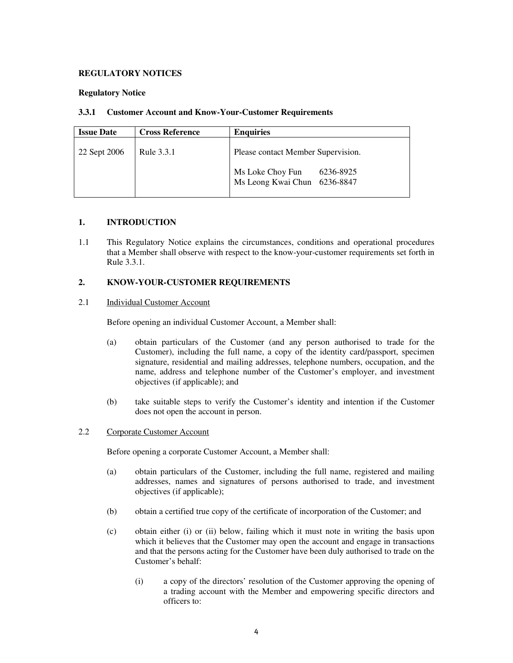#### **REGULATORY NOTICES**

#### **Regulatory Notice**

#### **3.3.1 Customer Account and Know-Your-Customer Requirements**

| <b>Issue Date</b> | <b>Cross Reference</b> | <b>Enquiries</b>                                                                                    |
|-------------------|------------------------|-----------------------------------------------------------------------------------------------------|
| 22 Sept 2006      | Rule 3.3.1             | Please contact Member Supervision.<br>Ms Loke Choy Fun<br>6236-8925<br>Ms Leong Kwai Chun 6236-8847 |

### **1. INTRODUCTION**

1.1 This Regulatory Notice explains the circumstances, conditions and operational procedures that a Member shall observe with respect to the know-your-customer requirements set forth in Rule 3.3.1.

#### **2. KNOW-YOUR-CUSTOMER REQUIREMENTS**

#### 2.1 Individual Customer Account

Before opening an individual Customer Account, a Member shall:

- (a) obtain particulars of the Customer (and any person authorised to trade for the Customer), including the full name, a copy of the identity card/passport, specimen signature, residential and mailing addresses, telephone numbers, occupation, and the name, address and telephone number of the Customer's employer, and investment objectives (if applicable); and
- (b) take suitable steps to verify the Customer's identity and intention if the Customer does not open the account in person.

#### 2.2 Corporate Customer Account

Before opening a corporate Customer Account, a Member shall:

- (a) obtain particulars of the Customer, including the full name, registered and mailing addresses, names and signatures of persons authorised to trade, and investment objectives (if applicable);
- (b) obtain a certified true copy of the certificate of incorporation of the Customer; and
- (c) obtain either (i) or (ii) below, failing which it must note in writing the basis upon which it believes that the Customer may open the account and engage in transactions and that the persons acting for the Customer have been duly authorised to trade on the Customer's behalf:
	- (i) a copy of the directors' resolution of the Customer approving the opening of a trading account with the Member and empowering specific directors and officers to: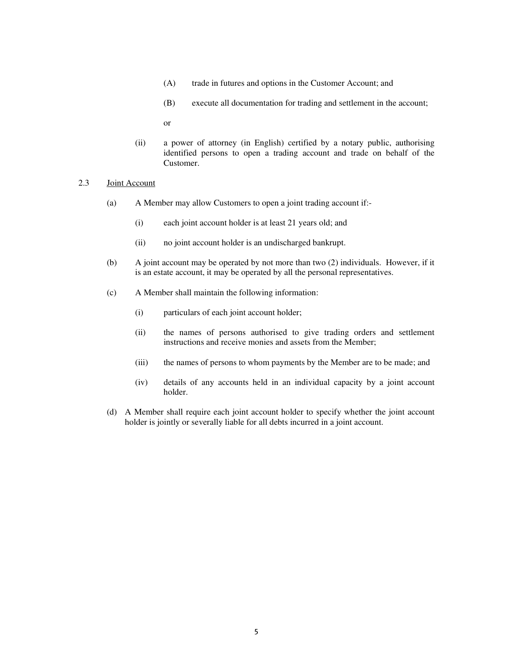- (A) trade in futures and options in the Customer Account; and
- (B) execute all documentation for trading and settlement in the account;

or

(ii) a power of attorney (in English) certified by a notary public, authorising identified persons to open a trading account and trade on behalf of the Customer.

#### 2.3 Joint Account

- (a) A Member may allow Customers to open a joint trading account if:-
	- (i) each joint account holder is at least 21 years old; and
	- (ii) no joint account holder is an undischarged bankrupt.
- (b) A joint account may be operated by not more than two (2) individuals. However, if it is an estate account, it may be operated by all the personal representatives.
- (c) A Member shall maintain the following information:
	- (i) particulars of each joint account holder;
	- (ii) the names of persons authorised to give trading orders and settlement instructions and receive monies and assets from the Member;
	- (iii) the names of persons to whom payments by the Member are to be made; and
	- (iv) details of any accounts held in an individual capacity by a joint account holder.
- (d) A Member shall require each joint account holder to specify whether the joint account holder is jointly or severally liable for all debts incurred in a joint account.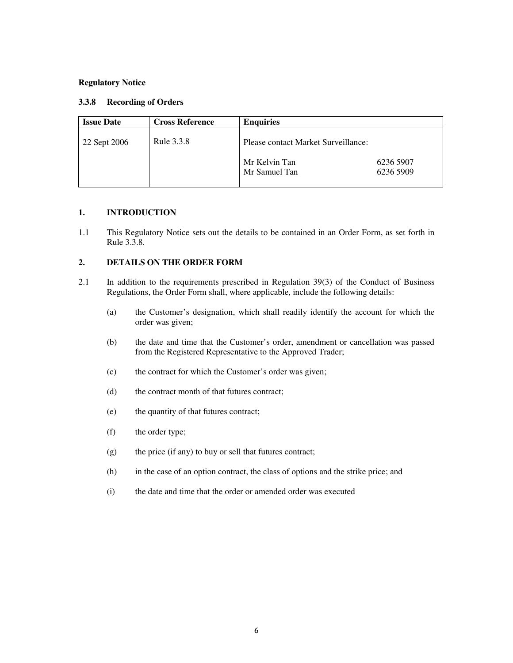#### **3.3.8 Recording of Orders**

| <b>Issue Date</b> | <b>Cross Reference</b> | <b>Enquiries</b>                    |           |
|-------------------|------------------------|-------------------------------------|-----------|
| 22 Sept 2006      | Rule 3.3.8             | Please contact Market Surveillance: |           |
|                   |                        | Mr Kelvin Tan                       | 6236 5907 |
|                   |                        | Mr Samuel Tan                       | 6236 5909 |
|                   |                        |                                     |           |

## **1. INTRODUCTION**

1.1 This Regulatory Notice sets out the details to be contained in an Order Form, as set forth in Rule 3.3.8.

## **2. DETAILS ON THE ORDER FORM**

- 2.1 In addition to the requirements prescribed in Regulation 39(3) of the Conduct of Business Regulations, the Order Form shall, where applicable, include the following details:
	- (a) the Customer's designation, which shall readily identify the account for which the order was given;
	- (b) the date and time that the Customer's order, amendment or cancellation was passed from the Registered Representative to the Approved Trader;
	- (c) the contract for which the Customer's order was given;
	- (d) the contract month of that futures contract;
	- (e) the quantity of that futures contract;
	- (f) the order type;
	- (g) the price (if any) to buy or sell that futures contract;
	- (h) in the case of an option contract, the class of options and the strike price; and
	- (i) the date and time that the order or amended order was executed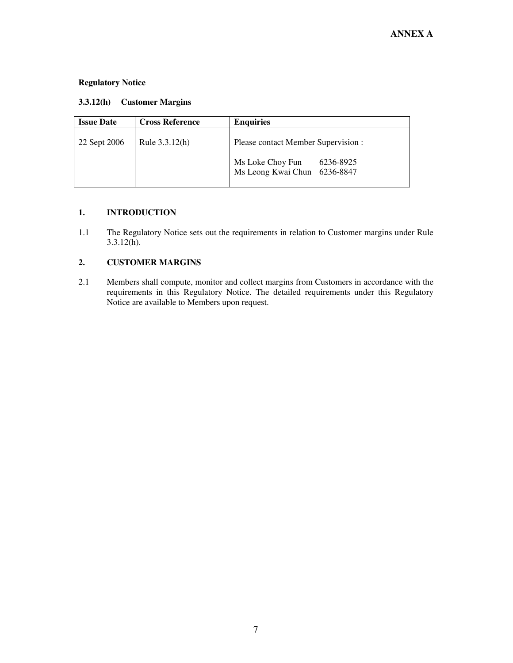| 3.3.12(h) | <b>Customer Margins</b> |
|-----------|-------------------------|
|-----------|-------------------------|

| <b>Issue Date</b> | <b>Cross Reference</b> | <b>Enquiries</b>                                                 |
|-------------------|------------------------|------------------------------------------------------------------|
| 22 Sept 2006      | Rule 3.3.12(h)         | Please contact Member Supervision :                              |
|                   |                        | Ms Loke Choy Fun<br>6236-8925<br>Ms Leong Kwai Chun<br>6236-8847 |

## **1. INTRODUCTION**

1.1 The Regulatory Notice sets out the requirements in relation to Customer margins under Rule 3.3.12(h).

## **2. CUSTOMER MARGINS**

2.1 Members shall compute, monitor and collect margins from Customers in accordance with the requirements in this Regulatory Notice. The detailed requirements under this Regulatory Notice are available to Members upon request.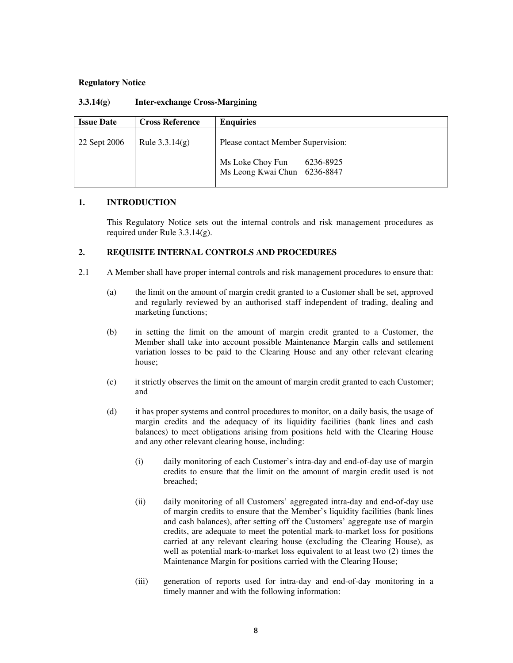| <b>Issue Date</b> | <b>Cross Reference</b> | <b>Enquiries</b>                                              |
|-------------------|------------------------|---------------------------------------------------------------|
| 22 Sept 2006      | Rule $3.3.14(g)$       | Please contact Member Supervision:                            |
|                   |                        | Ms Loke Choy Fun<br>6236-8925<br>Ms Leong Kwai Chun 6236-8847 |

### **1. INTRODUCTION**

 This Regulatory Notice sets out the internal controls and risk management procedures as required under Rule 3.3.14(g).

#### **2. REQUISITE INTERNAL CONTROLS AND PROCEDURES**

- 2.1 A Member shall have proper internal controls and risk management procedures to ensure that:
	- (a) the limit on the amount of margin credit granted to a Customer shall be set, approved and regularly reviewed by an authorised staff independent of trading, dealing and marketing functions;
	- (b) in setting the limit on the amount of margin credit granted to a Customer, the Member shall take into account possible Maintenance Margin calls and settlement variation losses to be paid to the Clearing House and any other relevant clearing house;
	- (c) it strictly observes the limit on the amount of margin credit granted to each Customer; and
	- (d) it has proper systems and control procedures to monitor, on a daily basis, the usage of margin credits and the adequacy of its liquidity facilities (bank lines and cash balances) to meet obligations arising from positions held with the Clearing House and any other relevant clearing house, including:
		- (i) daily monitoring of each Customer's intra-day and end-of-day use of margin credits to ensure that the limit on the amount of margin credit used is not breached;
		- (ii) daily monitoring of all Customers' aggregated intra-day and end-of-day use of margin credits to ensure that the Member's liquidity facilities (bank lines and cash balances), after setting off the Customers' aggregate use of margin credits, are adequate to meet the potential mark-to-market loss for positions carried at any relevant clearing house (excluding the Clearing House), as well as potential mark-to-market loss equivalent to at least two (2) times the Maintenance Margin for positions carried with the Clearing House;
		- (iii) generation of reports used for intra-day and end-of-day monitoring in a timely manner and with the following information: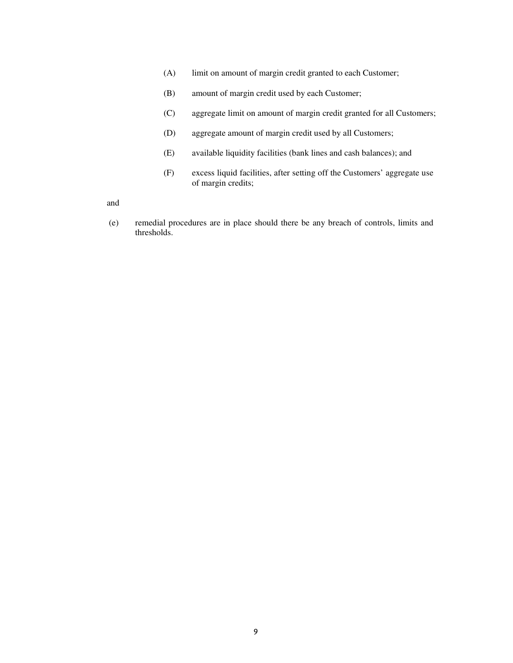- (A) limit on amount of margin credit granted to each Customer;
- (B) amount of margin credit used by each Customer;
- (C) aggregate limit on amount of margin credit granted for all Customers;
- (D) aggregate amount of margin credit used by all Customers;
- (E) available liquidity facilities (bank lines and cash balances); and
- (F) excess liquid facilities, after setting off the Customers' aggregate use of margin credits;

and

 (e) remedial procedures are in place should there be any breach of controls, limits and thresholds.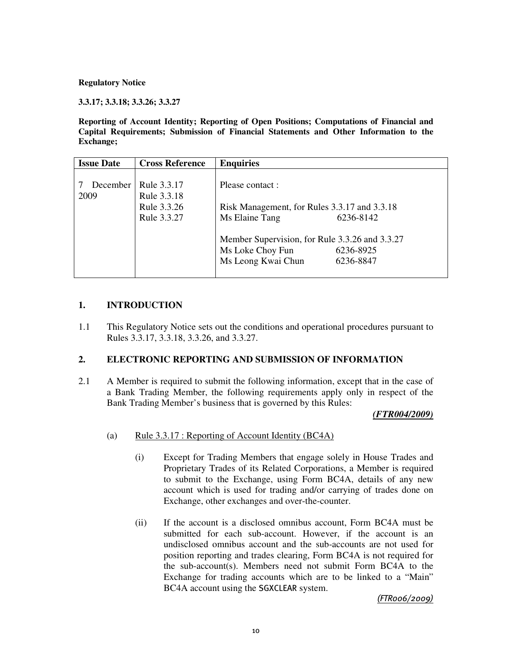**3.3.17; 3.3.18; 3.3.26; 3.3.27** 

**Reporting of Account Identity; Reporting of Open Positions; Computations of Financial and Capital Requirements; Submission of Financial Statements and Other Information to the Exchange;** 

| <b>Issue Date</b> | <b>Cross Reference</b>                                   | <b>Enquiries</b>                                                                                                                     |                        |
|-------------------|----------------------------------------------------------|--------------------------------------------------------------------------------------------------------------------------------------|------------------------|
| December<br>2009  | Rule 3.3.17<br>Rule 3.3.18<br>Rule 3.3.26<br>Rule 3.3.27 | Please contact :<br>Risk Management, for Rules 3.3.17 and 3.3.18<br>Ms Elaine Tang<br>Member Supervision, for Rule 3.3.26 and 3.3.27 | 6236-8142              |
|                   |                                                          | Ms Loke Choy Fun<br>Ms Leong Kwai Chun                                                                                               | 6236-8925<br>6236-8847 |

## **1. INTRODUCTION**

1.1 This Regulatory Notice sets out the conditions and operational procedures pursuant to Rules 3.3.17, 3.3.18, 3.3.26, and 3.3.27.

## **2. ELECTRONIC REPORTING AND SUBMISSION OF INFORMATION**

2.1 A Member is required to submit the following information, except that in the case of a Bank Trading Member, the following requirements apply only in respect of the Bank Trading Member's business that is governed by this Rules:

#### *(FTR004/2009)*

- (a) Rule 3.3.17 : Reporting of Account Identity (BC4A)
	- (i) Except for Trading Members that engage solely in House Trades and Proprietary Trades of its Related Corporations, a Member is required to submit to the Exchange, using Form BC4A, details of any new account which is used for trading and/or carrying of trades done on Exchange, other exchanges and over-the-counter.
	- (ii) If the account is a disclosed omnibus account, Form BC4A must be submitted for each sub-account. However, if the account is an undisclosed omnibus account and the sub-accounts are not used for position reporting and trades clearing, Form BC4A is not required for the sub-account(s). Members need not submit Form BC4A to the Exchange for trading accounts which are to be linked to a "Main" BC4A account using the SGXCLEAR system.

## (FTR006/2009)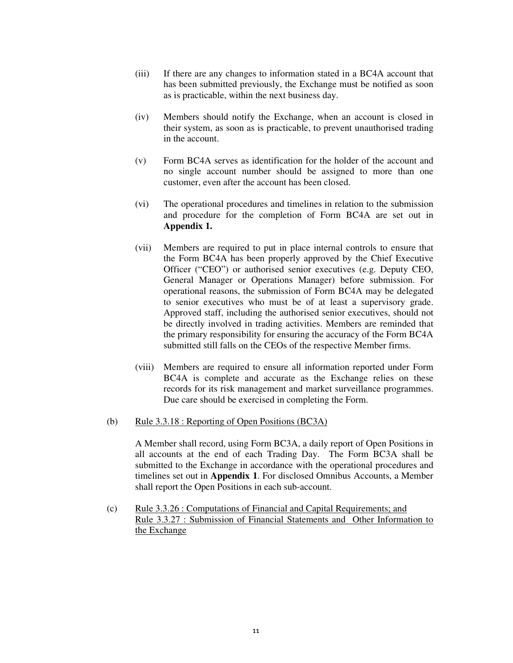- (iii) If there are any changes to information stated in a BC4A account that has been submitted previously, the Exchange must be notified as soon as is practicable, within the next business day.
- (iv) Members should notify the Exchange, when an account is closed in their system, as soon as is practicable, to prevent unauthorised trading in the account.
- (v) Form BC4A serves as identification for the holder of the account and no single account number should be assigned to more than one customer, even after the account has been closed.
- (vi) The operational procedures and timelines in relation to the submission and procedure for the completion of Form BC4A are set out in **Appendix 1.**
- (vii) Members are required to put in place internal controls to ensure that the Form BC4A has been properly approved by the Chief Executive Officer ("CEO") or authorised senior executives (e.g. Deputy CEO, General Manager or Operations Manager) before submission. For operational reasons, the submission of Form BC4A may be delegated to senior executives who must be of at least a supervisory grade. Approved staff, including the authorised senior executives, should not be directly involved in trading activities. Members are reminded that the primary responsibility for ensuring the accuracy of the Form BC4A submitted still falls on the CEOs of the respective Member firms.
- (viii) Members are required to ensure all information reported under Form BC4A is complete and accurate as the Exchange relies on these records for its risk management and market surveillance programmes. Due care should be exercised in completing the Form.
- (b) Rule 3.3.18 : Reporting of Open Positions (BC3A)

A Member shall record, using Form BC3A, a daily report of Open Positions in all accounts at the end of each Trading Day. The Form BC3A shall be submitted to the Exchange in accordance with the operational procedures and timelines set out in **Appendix 1**. For disclosed Omnibus Accounts, a Member shall report the Open Positions in each sub-account.

(c) Rule 3.3.26 : Computations of Financial and Capital Requirements; and Rule 3.3.27 : Submission of Financial Statements and Other Information to the Exchange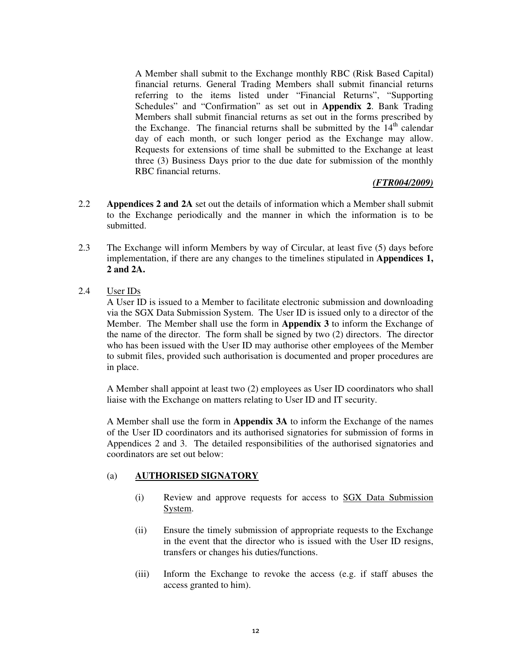A Member shall submit to the Exchange monthly RBC (Risk Based Capital) financial returns. General Trading Members shall submit financial returns referring to the items listed under "Financial Returns", "Supporting Schedules" and "Confirmation" as set out in **Appendix 2**. Bank Trading Members shall submit financial returns as set out in the forms prescribed by the Exchange. The financial returns shall be submitted by the  $14<sup>th</sup>$  calendar day of each month, or such longer period as the Exchange may allow. Requests for extensions of time shall be submitted to the Exchange at least three (3) Business Days prior to the due date for submission of the monthly RBC financial returns.

## *(FTR004/2009)*

- 2.2 **Appendices 2 and 2A** set out the details of information which a Member shall submit to the Exchange periodically and the manner in which the information is to be submitted.
- 2.3 The Exchange will inform Members by way of Circular, at least five (5) days before implementation, if there are any changes to the timelines stipulated in **Appendices 1, 2 and 2A.**
- 2.4 User IDs

A User ID is issued to a Member to facilitate electronic submission and downloading via the SGX Data Submission System. The User ID is issued only to a director of the Member. The Member shall use the form in **Appendix 3** to inform the Exchange of the name of the director. The form shall be signed by two (2) directors. The director who has been issued with the User ID may authorise other employees of the Member to submit files, provided such authorisation is documented and proper procedures are in place.

A Member shall appoint at least two (2) employees as User ID coordinators who shall liaise with the Exchange on matters relating to User ID and IT security.

A Member shall use the form in **Appendix 3A** to inform the Exchange of the names of the User ID coordinators and its authorised signatories for submission of forms in Appendices 2 and 3. The detailed responsibilities of the authorised signatories and coordinators are set out below:

## (a) **AUTHORISED SIGNATORY**

- (i) Review and approve requests for access to SGX Data Submission System.
- (ii) Ensure the timely submission of appropriate requests to the Exchange in the event that the director who is issued with the User ID resigns, transfers or changes his duties/functions.
- (iii) Inform the Exchange to revoke the access (e.g. if staff abuses the access granted to him).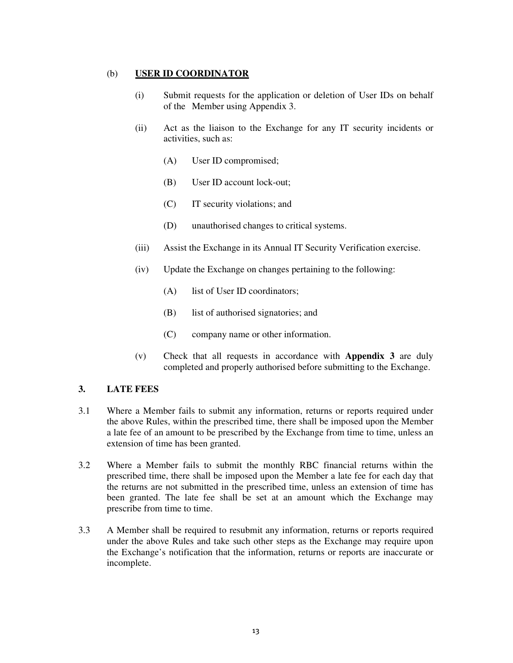## (b) **USER ID COORDINATOR**

- (i) Submit requests for the application or deletion of User IDs on behalf of the Member using Appendix 3.
- (ii) Act as the liaison to the Exchange for any IT security incidents or activities, such as:
	- (A) User ID compromised;
	- (B) User ID account lock-out;
	- (C) IT security violations; and
	- (D) unauthorised changes to critical systems.
- (iii) Assist the Exchange in its Annual IT Security Verification exercise.
- (iv) Update the Exchange on changes pertaining to the following:
	- (A) list of User ID coordinators;
	- (B) list of authorised signatories; and
	- (C) company name or other information.
- (v) Check that all requests in accordance with **Appendix 3** are duly completed and properly authorised before submitting to the Exchange.

## **3. LATE FEES**

- 3.1 Where a Member fails to submit any information, returns or reports required under the above Rules, within the prescribed time, there shall be imposed upon the Member a late fee of an amount to be prescribed by the Exchange from time to time, unless an extension of time has been granted.
- 3.2 Where a Member fails to submit the monthly RBC financial returns within the prescribed time, there shall be imposed upon the Member a late fee for each day that the returns are not submitted in the prescribed time, unless an extension of time has been granted. The late fee shall be set at an amount which the Exchange may prescribe from time to time.
- 3.3 A Member shall be required to resubmit any information, returns or reports required under the above Rules and take such other steps as the Exchange may require upon the Exchange's notification that the information, returns or reports are inaccurate or incomplete.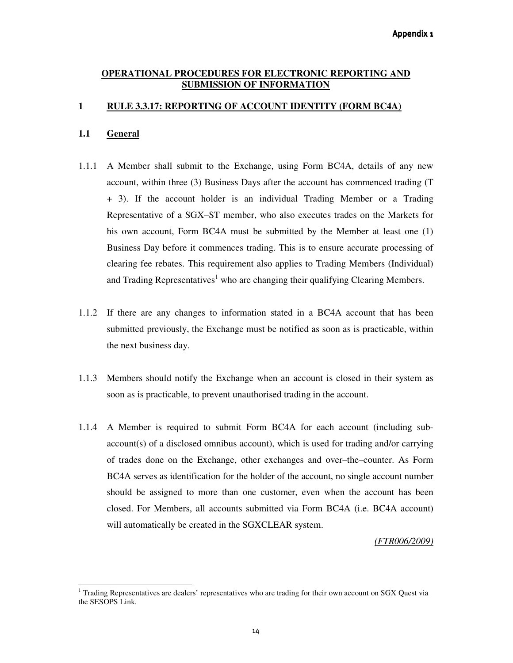## **OPERATIONAL PROCEDURES FOR ELECTRONIC REPORTING AND SUBMISSION OF INFORMATION**

## **1 RULE 3.3.17: REPORTING OF ACCOUNT IDENTITY (FORM BC4A)**

## **1.1 General**

 $\overline{a}$ 

- 1.1.1 A Member shall submit to the Exchange, using Form BC4A, details of any new account, within three (3) Business Days after the account has commenced trading (T + 3). If the account holder is an individual Trading Member or a Trading Representative of a SGX–ST member, who also executes trades on the Markets for his own account, Form BC4A must be submitted by the Member at least one (1) Business Day before it commences trading. This is to ensure accurate processing of clearing fee rebates. This requirement also applies to Trading Members (Individual) and Trading Representatives<sup>1</sup> who are changing their qualifying Clearing Members.
- 1.1.2 If there are any changes to information stated in a BC4A account that has been submitted previously, the Exchange must be notified as soon as is practicable, within the next business day.
- 1.1.3 Members should notify the Exchange when an account is closed in their system as soon as is practicable, to prevent unauthorised trading in the account.
- 1.1.4 A Member is required to submit Form BC4A for each account (including subaccount(s) of a disclosed omnibus account), which is used for trading and/or carrying of trades done on the Exchange, other exchanges and over–the–counter. As Form BC4A serves as identification for the holder of the account, no single account number should be assigned to more than one customer, even when the account has been closed. For Members, all accounts submitted via Form BC4A (i.e. BC4A account) will automatically be created in the SGXCLEAR system.

*(FTR006/2009)*

<sup>&</sup>lt;sup>1</sup> Trading Representatives are dealers' representatives who are trading for their own account on SGX Quest via the SESOPS Link.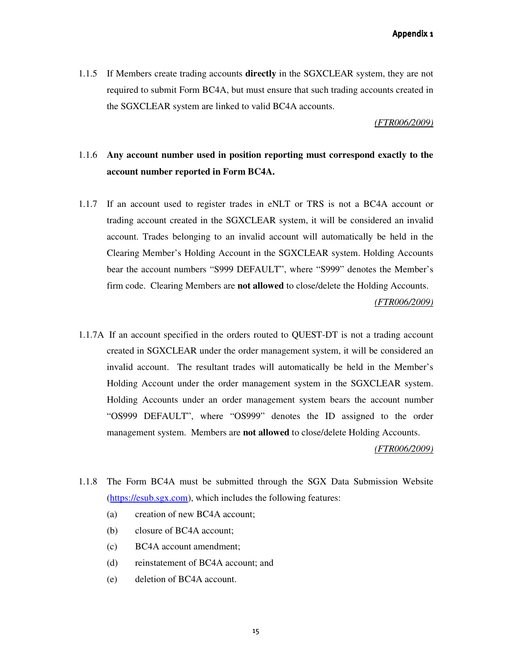Appendix 1

1.1.5 If Members create trading accounts **directly** in the SGXCLEAR system, they are not required to submit Form BC4A, but must ensure that such trading accounts created in the SGXCLEAR system are linked to valid BC4A accounts.

#### *(FTR006/2009)*

## 1.1.6 **Any account number used in position reporting must correspond exactly to the account number reported in Form BC4A.**

- 1.1.7 If an account used to register trades in eNLT or TRS is not a BC4A account or trading account created in the SGXCLEAR system, it will be considered an invalid account. Trades belonging to an invalid account will automatically be held in the Clearing Member's Holding Account in the SGXCLEAR system. Holding Accounts bear the account numbers "S999 DEFAULT", where "S999" denotes the Member's firm code. Clearing Members are **not allowed** to close/delete the Holding Accounts. *(FTR006/2009)*
- 1.1.7A If an account specified in the orders routed to QUEST-DT is not a trading account created in SGXCLEAR under the order management system, it will be considered an invalid account. The resultant trades will automatically be held in the Member's Holding Account under the order management system in the SGXCLEAR system. Holding Accounts under an order management system bears the account number "OS999 DEFAULT", where "OS999" denotes the ID assigned to the order management system. Members are **not allowed** to close/delete Holding Accounts.

*(FTR006/2009)*

- 1.1.8 The Form BC4A must be submitted through the SGX Data Submission Website (https://esub.sgx.com), which includes the following features:
	- (a) creation of new BC4A account;
	- (b) closure of BC4A account;
	- (c) BC4A account amendment;
	- (d) reinstatement of BC4A account; and
	- (e) deletion of BC4A account.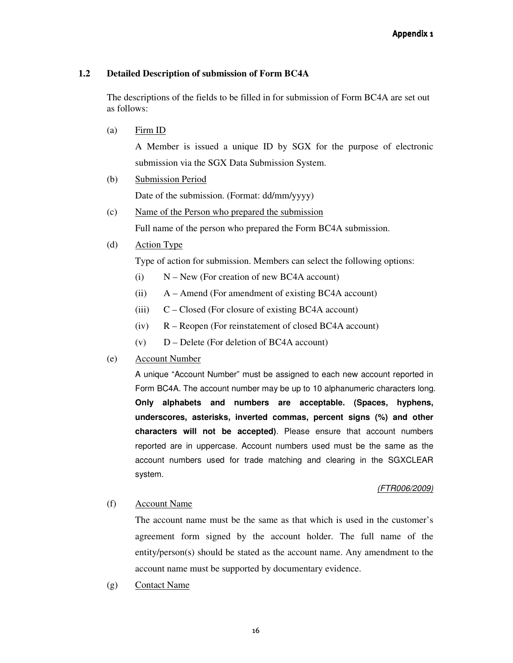## **1.2 Detailed Description of submission of Form BC4A**

The descriptions of the fields to be filled in for submission of Form BC4A are set out as follows:

(a) Firm ID

A Member is issued a unique ID by SGX for the purpose of electronic submission via the SGX Data Submission System.

- (b) Submission Period Date of the submission. (Format: dd/mm/yyyy)
- (c) Name of the Person who prepared the submission Full name of the person who prepared the Form BC4A submission.
- (d) Action Type

Type of action for submission. Members can select the following options:

- $(i)$  N New (For creation of new BC4A account)
- (ii) A Amend (For amendment of existing BC4A account)
- (iii) C Closed (For closure of existing BC4A account)
- (iv) R Reopen (For reinstatement of closed BC4A account)
- $(v)$  D Delete (For deletion of BC4A account)
- (e) Account Number

A unique "Account Number" must be assigned to each new account reported in Form BC4A. The account number may be up to 10 alphanumeric characters long. **Only alphabets and numbers are acceptable. (Spaces, hyphens, underscores, asterisks, inverted commas, percent signs (%) and other characters will not be accepted)**. Please ensure that account numbers reported are in uppercase. Account numbers used must be the same as the account numbers used for trade matching and clearing in the SGXCLEAR system.

## (FTR006/2009)

## (f) Account Name

The account name must be the same as that which is used in the customer's agreement form signed by the account holder. The full name of the entity/person(s) should be stated as the account name. Any amendment to the account name must be supported by documentary evidence.

(g) Contact Name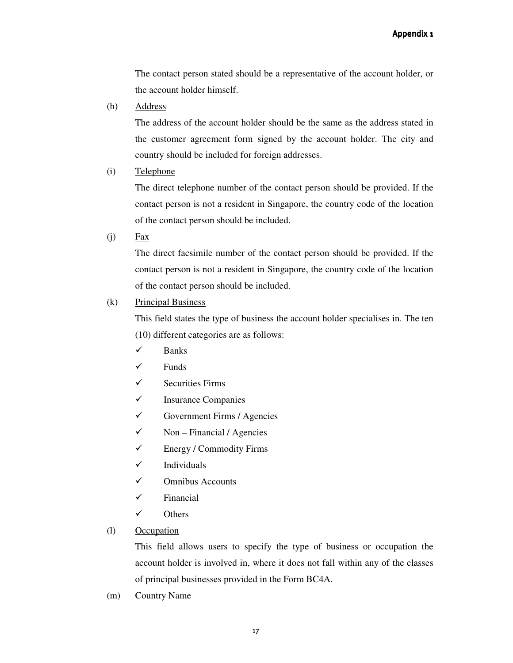The contact person stated should be a representative of the account holder, or the account holder himself.

(h) Address

The address of the account holder should be the same as the address stated in the customer agreement form signed by the account holder. The city and country should be included for foreign addresses.

(i) Telephone

The direct telephone number of the contact person should be provided. If the contact person is not a resident in Singapore, the country code of the location of the contact person should be included.

 $(i)$  Fax

The direct facsimile number of the contact person should be provided. If the contact person is not a resident in Singapore, the country code of the location of the contact person should be included.

## (k) Principal Business

This field states the type of business the account holder specialises in. The ten (10) different categories are as follows:

- $\checkmark$  Banks
- $\checkmark$  Funds
- $\checkmark$  Securities Firms
- $\checkmark$  Insurance Companies
- $\checkmark$  Government Firms / Agencies
- $\checkmark$  Non Financial / Agencies
- $\checkmark$  Energy / Commodity Firms
- $\checkmark$  Individuals
- $\checkmark$  Omnibus Accounts
- $\checkmark$  Financial
- $\checkmark$  Others
- (l) Occupation

This field allows users to specify the type of business or occupation the account holder is involved in, where it does not fall within any of the classes of principal businesses provided in the Form BC4A.

(m) Country Name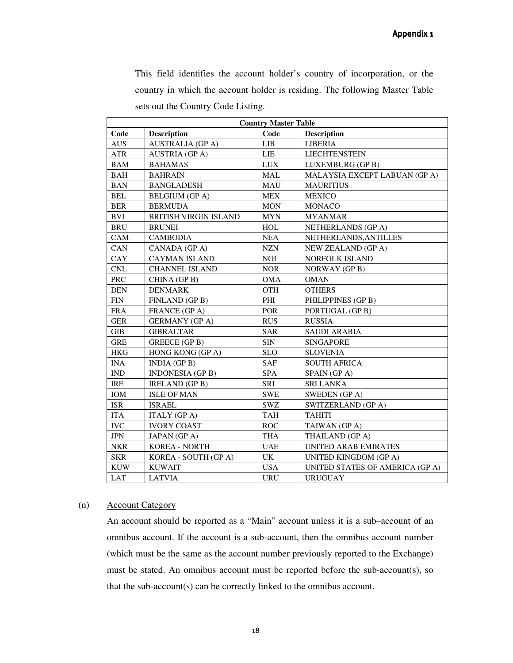This field identifies the account holder's country of incorporation, or the country in which the account holder is residing. The following Master Table sets out the Country Code Listing.

| <b>Country Master Table</b> |                              |            |                                 |  |
|-----------------------------|------------------------------|------------|---------------------------------|--|
| Code                        | <b>Description</b>           | Code       | <b>Description</b>              |  |
| <b>AUS</b>                  | <b>AUSTRALIA (GP A)</b>      | <b>LIB</b> | LIBERIA                         |  |
| ATR                         | <b>AUSTRIA</b> (GPA)         | <b>LIE</b> | <b>LIECHTENSTEIN</b>            |  |
| <b>BAM</b>                  | <b>BAHAMAS</b>               | <b>LUX</b> | LUXEMBURG (GP B)                |  |
| <b>BAH</b>                  | <b>BAHRAIN</b>               | <b>MAL</b> | MALAYSIA EXCEPT LABUAN (GP A)   |  |
| <b>BAN</b>                  | <b>BANGLADESH</b>            | <b>MAU</b> | <b>MAURITIUS</b>                |  |
| <b>BEL</b>                  | <b>BELGIUM</b> (GP A)        | <b>MEX</b> | <b>MEXICO</b>                   |  |
| <b>BER</b>                  | <b>BERMUDA</b>               | <b>MON</b> | <b>MONACO</b>                   |  |
| <b>BVI</b>                  | <b>BRITISH VIRGIN ISLAND</b> | <b>MYN</b> | <b>MYANMAR</b>                  |  |
| <b>BRU</b>                  | <b>BRUNEI</b>                | <b>HOL</b> | NETHERLANDS (GP A)              |  |
| CAM                         | <b>CAMBODIA</b>              | <b>NEA</b> | NETHERLANDS, ANTILLES           |  |
| CAN                         | CANADA (GP A)                | <b>NZN</b> | NEW ZEALAND (GP A)              |  |
| CAY                         | <b>CAYMAN ISLAND</b>         | <b>NOI</b> | <b>NORFOLK ISLAND</b>           |  |
| CNL                         | <b>CHANNEL ISLAND</b>        | <b>NOR</b> | NORWAY (GP B)                   |  |
| PRC                         | CHINA (GP B)                 | <b>OMA</b> | <b>OMAN</b>                     |  |
| <b>DEN</b>                  | <b>DENMARK</b>               | <b>OTH</b> | <b>OTHERS</b>                   |  |
| <b>FIN</b>                  | FINLAND (GP B)               | PHI        | PHILIPPINES (GP B)              |  |
| <b>FRA</b>                  | FRANCE (GP A)                | <b>POR</b> | PORTUGAL (GP B)                 |  |
| <b>GER</b>                  | <b>GERMANY</b> (GP A)        | <b>RUS</b> | <b>RUSSIA</b>                   |  |
| <b>GIB</b>                  | <b>GIBRALTAR</b>             | <b>SAR</b> | <b>SAUDI ARABIA</b>             |  |
| <b>GRE</b>                  | GREECE (GP B)                | <b>SIN</b> | <b>SINGAPORE</b>                |  |
| <b>HKG</b>                  | HONG KONG (GP A)             | <b>SLO</b> | <b>SLOVENIA</b>                 |  |
| <b>INA</b>                  | $INDIA$ (GP B)               | <b>SAF</b> | <b>SOUTH AFRICA</b>             |  |
| <b>IND</b>                  | <b>INDONESIA</b> (GP B)      | <b>SPA</b> | SPAIN (GP A)                    |  |
| <b>IRE</b>                  | <b>IRELAND</b> (GP B)        | SRI        | <b>SRI LANKA</b>                |  |
| IOM                         | <b>ISLE OF MAN</b>           | <b>SWE</b> | <b>SWEDEN</b> (GP A)            |  |
| <b>ISR</b>                  | <b>ISRAEL</b>                | <b>SWZ</b> | SWITZERLAND (GP A)              |  |
| <b>ITA</b>                  | <b>ITALY</b> (GP A)          | <b>TAH</b> | <b>TAHITI</b>                   |  |
| <b>IVC</b>                  | <b>IVORY COAST</b>           | <b>ROC</b> | TAIWAN (GP A)                   |  |
| <b>JPN</b>                  | JAPAN (GP A)                 | <b>THA</b> | THAILAND (GP A)                 |  |
| <b>NKR</b>                  | <b>KOREA - NORTH</b>         | <b>UAE</b> | UNITED ARAB EMIRATES            |  |
| <b>SKR</b>                  | KOREA - SOUTH (GP A)         | UK         | UNITED KINGDOM (GP A)           |  |
| <b>KUW</b>                  | <b>KUWAIT</b>                | <b>USA</b> | UNITED STATES OF AMERICA (GP A) |  |
| <b>LAT</b>                  | <b>LATVIA</b>                | <b>URU</b> | <b>URUGUAY</b>                  |  |

#### (n) Account Category

An account should be reported as a "Main" account unless it is a sub–account of an omnibus account. If the account is a sub-account, then the omnibus account number (which must be the same as the account number previously reported to the Exchange) must be stated. An omnibus account must be reported before the sub-account(s), so that the sub-account(s) can be correctly linked to the omnibus account.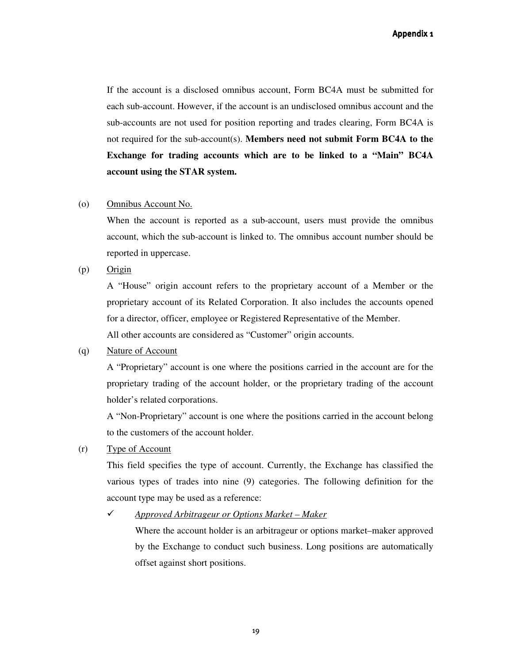If the account is a disclosed omnibus account, Form BC4A must be submitted for each sub-account. However, if the account is an undisclosed omnibus account and the sub-accounts are not used for position reporting and trades clearing, Form BC4A is not required for the sub-account(s). **Members need not submit Form BC4A to the Exchange for trading accounts which are to be linked to a "Main" BC4A account using the STAR system.** 

#### (o) Omnibus Account No.

When the account is reported as a sub-account, users must provide the omnibus account, which the sub-account is linked to. The omnibus account number should be reported in uppercase.

 $(p)$  Origin

A "House" origin account refers to the proprietary account of a Member or the proprietary account of its Related Corporation. It also includes the accounts opened for a director, officer, employee or Registered Representative of the Member. All other accounts are considered as "Customer" origin accounts.

#### (q) Nature of Account

A "Proprietary" account is one where the positions carried in the account are for the proprietary trading of the account holder, or the proprietary trading of the account holder's related corporations.

A "Non-Proprietary" account is one where the positions carried in the account belong to the customers of the account holder.

### (r) Type of Account

This field specifies the type of account. Currently, the Exchange has classified the various types of trades into nine (9) categories. The following definition for the account type may be used as a reference:

*Approved Arbitrageur or Options Market – Maker* 

Where the account holder is an arbitrageur or options market–maker approved by the Exchange to conduct such business. Long positions are automatically offset against short positions.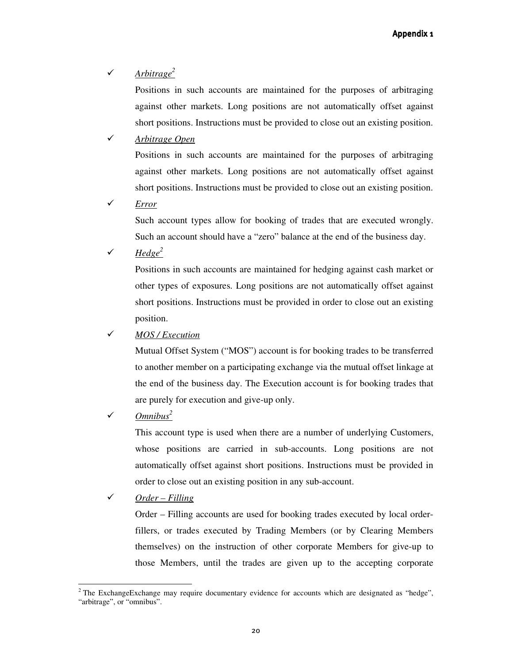## *Arbitrage<sup>2</sup>*

Positions in such accounts are maintained for the purposes of arbitraging against other markets. Long positions are not automatically offset against short positions. Instructions must be provided to close out an existing position.

## *Arbitrage Open*

Positions in such accounts are maintained for the purposes of arbitraging against other markets. Long positions are not automatically offset against short positions. Instructions must be provided to close out an existing position.

*Error*

Such account types allow for booking of trades that are executed wrongly. Such an account should have a "zero" balance at the end of the business day.

 $\sqrt{H}$  *Hedge*<sup>2</sup>

Positions in such accounts are maintained for hedging against cash market or other types of exposures. Long positions are not automatically offset against short positions. Instructions must be provided in order to close out an existing position.

## *MOS / Execution*

Mutual Offset System ("MOS") account is for booking trades to be transferred to another member on a participating exchange via the mutual offset linkage at the end of the business day. The Execution account is for booking trades that are purely for execution and give-up only.

## *Omnibus<sup>2</sup>*

This account type is used when there are a number of underlying Customers, whose positions are carried in sub-accounts. Long positions are not automatically offset against short positions. Instructions must be provided in order to close out an existing position in any sub-account.

*Order – Filling* 

 $\overline{a}$ 

Order – Filling accounts are used for booking trades executed by local orderfillers, or trades executed by Trading Members (or by Clearing Members themselves) on the instruction of other corporate Members for give-up to those Members, until the trades are given up to the accepting corporate

<sup>&</sup>lt;sup>2</sup> The ExchangeExchange may require documentary evidence for accounts which are designated as "hedge", "arbitrage", or "omnibus".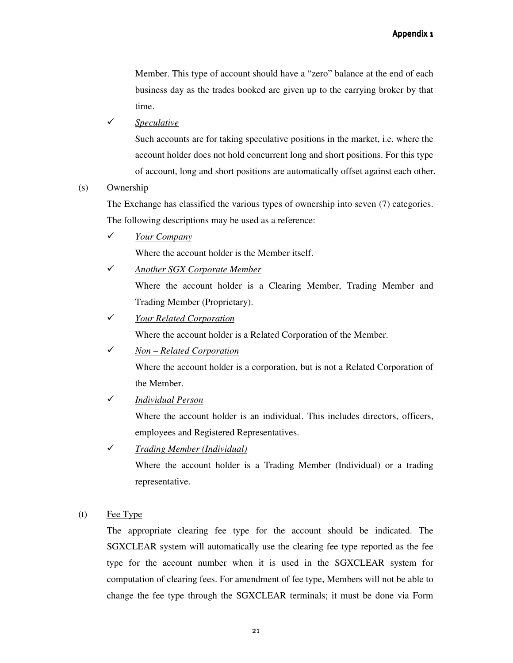Member. This type of account should have a "zero" balance at the end of each business day as the trades booked are given up to the carrying broker by that time.

*Speculative*

Such accounts are for taking speculative positions in the market, i.e. where the account holder does not hold concurrent long and short positions. For this type of account, long and short positions are automatically offset against each other.

#### (s) Ownership

The Exchange has classified the various types of ownership into seven (7) categories. The following descriptions may be used as a reference:

*Your Company* 

Where the account holder is the Member itself.

 *Another SGX Corporate Member* Where the account holder is a Clearing Member, Trading Member and Trading Member (Proprietary).

## *Your Related Corporation*

Where the account holder is a Related Corporation of the Member.

*Non – Related Corporation*

Where the account holder is a corporation, but is not a Related Corporation of the Member.

*Individual Person*

Where the account holder is an individual. This includes directors, officers, employees and Registered Representatives.

*Trading Member (Individual)* 

Where the account holder is a Trading Member (Individual) or a trading representative.

(t) Fee Type

The appropriate clearing fee type for the account should be indicated. The SGXCLEAR system will automatically use the clearing fee type reported as the fee type for the account number when it is used in the SGXCLEAR system for computation of clearing fees. For amendment of fee type, Members will not be able to change the fee type through the SGXCLEAR terminals; it must be done via Form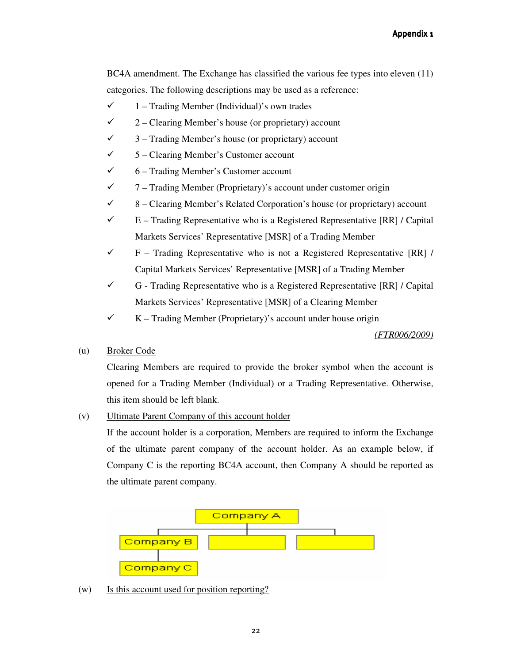BC4A amendment. The Exchange has classified the various fee types into eleven (11) categories. The following descriptions may be used as a reference:

- $\checkmark$  1 Trading Member (Individual)'s own trades
- $\checkmark$  Clearing Member's house (or proprietary) account
- $\checkmark$  3 Trading Member's house (or proprietary) account
- $\checkmark$  5 Clearing Member's Customer account
- $6 -$  Trading Member's Customer account
- $\checkmark$  Trading Member (Proprietary)'s account under customer origin
- $\checkmark$  8 Clearing Member's Related Corporation's house (or proprietary) account
- $\checkmark$  E Trading Representative who is a Registered Representative [RR] / Capital Markets Services' Representative [MSR] of a Trading Member
- $\checkmark$  F Trading Representative who is not a Registered Representative [RR] / Capital Markets Services' Representative [MSR] of a Trading Member
- $\checkmark$  G Trading Representative who is a Registered Representative [RR] / Capital Markets Services' Representative [MSR] of a Clearing Member
- $\checkmark$  Trading Member (Proprietary)'s account under house origin

## *(FTR006/2009)*

(u) Broker Code

Clearing Members are required to provide the broker symbol when the account is opened for a Trading Member (Individual) or a Trading Representative. Otherwise, this item should be left blank.

(v) Ultimate Parent Company of this account holder

If the account holder is a corporation, Members are required to inform the Exchange of the ultimate parent company of the account holder. As an example below, if Company C is the reporting BC4A account, then Company A should be reported as the ultimate parent company.



(w) Is this account used for position reporting?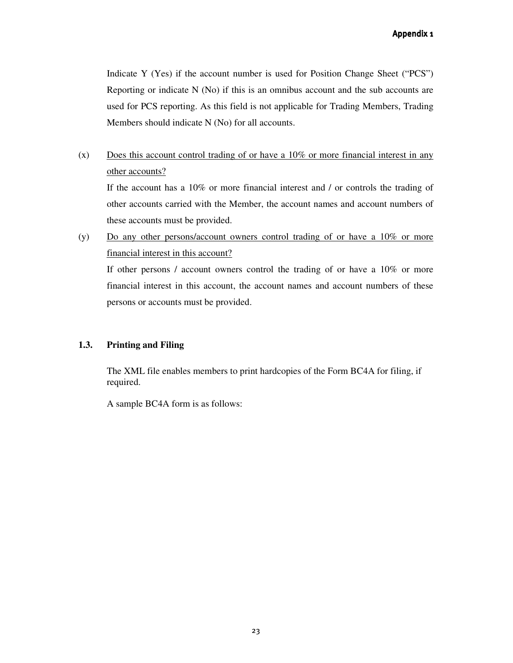Indicate Y (Yes) if the account number is used for Position Change Sheet ("PCS") Reporting or indicate N (No) if this is an omnibus account and the sub accounts are used for PCS reporting. As this field is not applicable for Trading Members, Trading Members should indicate N (No) for all accounts.

(x) Does this account control trading of or have a 10% or more financial interest in any other accounts? If the account has a 10% or more financial interest and / or controls the trading of other accounts carried with the Member, the account names and account numbers of

these accounts must be provided.

(y) Do any other persons/account owners control trading of or have a 10% or more financial interest in this account?

If other persons / account owners control the trading of or have a 10% or more financial interest in this account, the account names and account numbers of these persons or accounts must be provided.

## **1.3. Printing and Filing**

The XML file enables members to print hardcopies of the Form BC4A for filing, if required.

A sample BC4A form is as follows: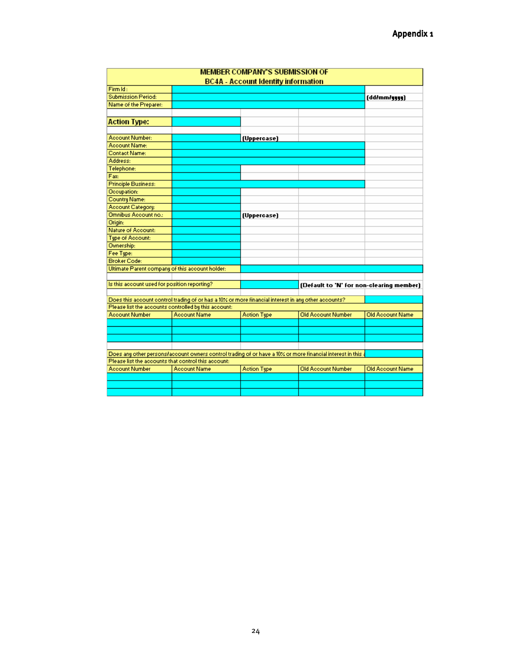|                                                     |                                                                                                     | <b>MEMBER COMPANY'S SUBMISSION OF</b>      |                                                                                                             |                                          |
|-----------------------------------------------------|-----------------------------------------------------------------------------------------------------|--------------------------------------------|-------------------------------------------------------------------------------------------------------------|------------------------------------------|
|                                                     |                                                                                                     | <b>BC4A - Account Identity information</b> |                                                                                                             |                                          |
| Firm Id:                                            |                                                                                                     |                                            |                                                                                                             |                                          |
| <b>Submission Period:</b>                           |                                                                                                     |                                            |                                                                                                             | (dd/mm/yyyy)                             |
| Name of the Preparer:                               |                                                                                                     |                                            |                                                                                                             |                                          |
|                                                     |                                                                                                     |                                            |                                                                                                             |                                          |
| <b>Action Type:</b>                                 |                                                                                                     |                                            |                                                                                                             |                                          |
|                                                     |                                                                                                     |                                            |                                                                                                             |                                          |
| Account Number:                                     |                                                                                                     | (Uppercase)                                |                                                                                                             |                                          |
| Account Name:                                       |                                                                                                     |                                            |                                                                                                             |                                          |
| Contact Name:                                       |                                                                                                     |                                            |                                                                                                             |                                          |
| Address:                                            |                                                                                                     |                                            |                                                                                                             |                                          |
| Telephone:                                          |                                                                                                     |                                            |                                                                                                             |                                          |
| Fax:                                                |                                                                                                     |                                            |                                                                                                             |                                          |
| <b>Principle Business:</b>                          |                                                                                                     |                                            |                                                                                                             |                                          |
| Occupation:                                         |                                                                                                     |                                            |                                                                                                             |                                          |
| Country Name:                                       |                                                                                                     |                                            |                                                                                                             |                                          |
| Account Category:                                   |                                                                                                     |                                            |                                                                                                             |                                          |
| Omnibus Account no.:                                |                                                                                                     | (Uppercase)                                |                                                                                                             |                                          |
| Origin:                                             |                                                                                                     |                                            |                                                                                                             |                                          |
| Nature of Account:                                  |                                                                                                     |                                            |                                                                                                             |                                          |
| <b>Tipe of Account:</b>                             |                                                                                                     |                                            |                                                                                                             |                                          |
| Ownership:                                          |                                                                                                     |                                            |                                                                                                             |                                          |
| Fee Type:                                           |                                                                                                     |                                            |                                                                                                             |                                          |
| <b>Broker Code:</b>                                 |                                                                                                     |                                            |                                                                                                             |                                          |
| Ultimate Parent company of this account holder:     |                                                                                                     |                                            |                                                                                                             |                                          |
|                                                     |                                                                                                     |                                            |                                                                                                             |                                          |
| Is this account used for position reporting?        |                                                                                                     |                                            |                                                                                                             | (Default to 'N' for non-clearing member) |
|                                                     |                                                                                                     |                                            |                                                                                                             |                                          |
|                                                     | Does this account control trading of or has a 10% or more financial interest in any other accounts? |                                            |                                                                                                             |                                          |
|                                                     | Please list the accounts controlled by this account:                                                |                                            |                                                                                                             |                                          |
| <b>Account Number</b>                               | <b>Account Name</b>                                                                                 | <b>Action Type</b>                         | Old Account Number                                                                                          | Old Account Name                         |
|                                                     |                                                                                                     |                                            |                                                                                                             |                                          |
|                                                     |                                                                                                     |                                            |                                                                                                             |                                          |
|                                                     |                                                                                                     |                                            |                                                                                                             |                                          |
|                                                     |                                                                                                     |                                            |                                                                                                             |                                          |
|                                                     |                                                                                                     |                                            | Does any other persons/account owners control trading of or have a 10% or more financial interest in this a |                                          |
| Please list the accounts that control this account: |                                                                                                     |                                            |                                                                                                             |                                          |
| Account Number                                      | Account Name                                                                                        | <b>Action Type</b>                         | <b>Old Account Number</b>                                                                                   | Old Account Name                         |
|                                                     |                                                                                                     |                                            |                                                                                                             |                                          |
|                                                     |                                                                                                     |                                            |                                                                                                             |                                          |
|                                                     |                                                                                                     |                                            |                                                                                                             |                                          |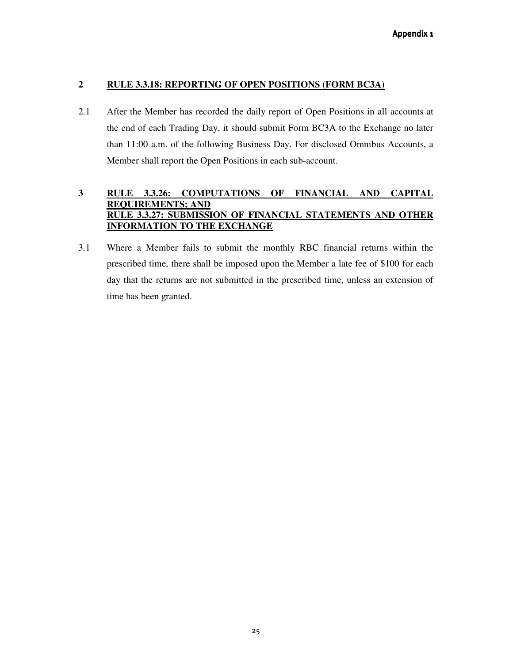## **2 RULE 3.3.18: REPORTING OF OPEN POSITIONS (FORM BC3A)**

2.1 After the Member has recorded the daily report of Open Positions in all accounts at the end of each Trading Day, it should submit Form BC3A to the Exchange no later than 11:00 a.m. of the following Business Day. For disclosed Omnibus Accounts, a Member shall report the Open Positions in each sub-account.

## **3 RULE 3.3.26: COMPUTATIONS OF FINANCIAL AND CAPITAL REQUIREMENTS; AND RULE 3.3.27: SUBMISSION OF FINANCIAL STATEMENTS AND OTHER INFORMATION TO THE EXCHANGE**

3.1 Where a Member fails to submit the monthly RBC financial returns within the prescribed time, there shall be imposed upon the Member a late fee of \$100 for each day that the returns are not submitted in the prescribed time, unless an extension of time has been granted.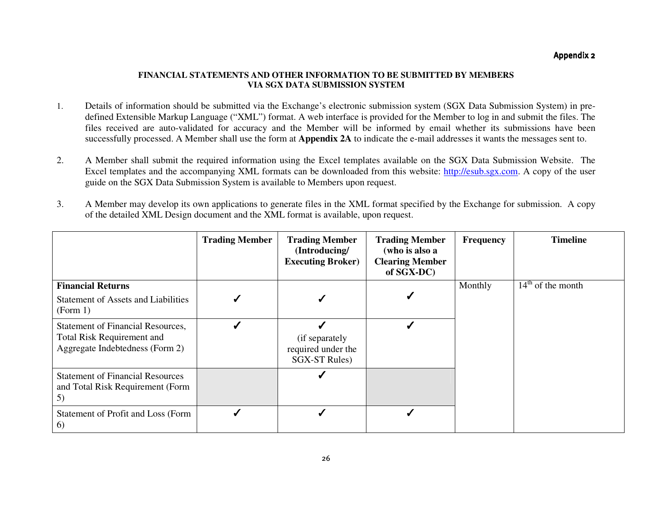## Appendix 2

#### **FINANCIAL STATEMENTS AND OTHER INFORMATION TO BE SUBMITTED BY MEMBERS VIA SGX DATA SUBMISSION SYSTEM**

- 1. Details of information should be submitted via the Exchange's electronic submission system (SGX Data Submission System) in predefined Extensible Markup Language ("XML") format. A web interface is provided for the Member to log in and submit the files. The files received are auto-validated for accuracy and the Member will be informed by email whether its submissions have been successfully processed. A Member shall use the form at **Appendix 2A** to indicate the e-mail addresses it wants the messages sent to.
- 2. A Member shall submit the required information using the Excel templates available on the SGX Data Submission Website. The Excel templates and the accompanying XML formats can be downloaded from this website: http://esub.sgx.com. A copy of the user guide on the SGX Data Submission System is available to Members upon request.
- 3. A Member may develop its own applications to generate files in the XML format specified by the Exchange for submission. A copy of the detailed XML Design document and the XML format is available, upon request.

|                                                                                                                  | <b>Trading Member</b> | <b>Trading Member</b><br>(Introducing/<br><b>Executing Broker)</b> | <b>Trading Member</b><br>(who is also a<br><b>Clearing Member</b><br>of SGX-DC) | <b>Frequency</b> | <b>Timeline</b>     |
|------------------------------------------------------------------------------------------------------------------|-----------------------|--------------------------------------------------------------------|---------------------------------------------------------------------------------|------------------|---------------------|
| <b>Financial Returns</b><br><b>Statement of Assets and Liabilities</b><br>(Form 1)                               |                       |                                                                    |                                                                                 | Monthly          | $14th$ of the month |
| <b>Statement of Financial Resources,</b><br><b>Total Risk Requirement and</b><br>Aggregate Indebtedness (Form 2) |                       | (if separately<br>required under the<br><b>SGX-ST Rules</b> )      |                                                                                 |                  |                     |
| <b>Statement of Financial Resources</b><br>and Total Risk Requirement (Form<br>5)                                |                       |                                                                    |                                                                                 |                  |                     |
| Statement of Profit and Loss (Form<br>6)                                                                         |                       |                                                                    |                                                                                 |                  |                     |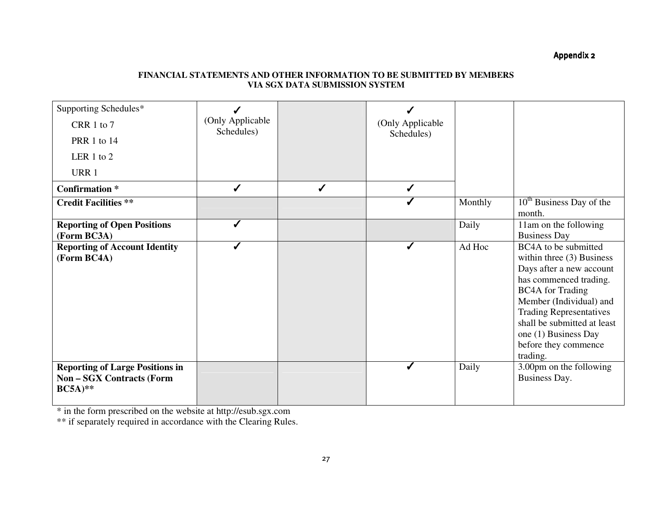Appendix 2

### **FINANCIAL STATEMENTS AND OTHER INFORMATION TO BE SUBMITTED BY MEMBERS VIA SGX DATA SUBMISSION SYSTEM**

| Supporting Schedules*                                                                 |                                |              |                  |         |                                                                                                                                                                                                                                                                                              |
|---------------------------------------------------------------------------------------|--------------------------------|--------------|------------------|---------|----------------------------------------------------------------------------------------------------------------------------------------------------------------------------------------------------------------------------------------------------------------------------------------------|
| CRR 1 to 7                                                                            | (Only Applicable<br>Schedules) |              | (Only Applicable |         |                                                                                                                                                                                                                                                                                              |
| PRR 1 to 14                                                                           |                                |              | Schedules)       |         |                                                                                                                                                                                                                                                                                              |
| LER 1 to 2                                                                            |                                |              |                  |         |                                                                                                                                                                                                                                                                                              |
| URR 1                                                                                 |                                |              |                  |         |                                                                                                                                                                                                                                                                                              |
| <b>Confirmation</b> *                                                                 | $\checkmark$                   | $\checkmark$ | $\checkmark$     |         |                                                                                                                                                                                                                                                                                              |
| <b>Credit Facilities **</b>                                                           |                                |              |                  | Monthly | $10th$ Business Day of the<br>month.                                                                                                                                                                                                                                                         |
| <b>Reporting of Open Positions</b><br>(Form BC3A)                                     |                                |              |                  | Daily   | 11am on the following<br><b>Business Day</b>                                                                                                                                                                                                                                                 |
| <b>Reporting of Account Identity</b><br>(Form BC4A)                                   |                                |              |                  | Ad Hoc  | BC4A to be submitted<br>within three $(3)$ Business<br>Days after a new account<br>has commenced trading.<br><b>BC4A</b> for Trading<br>Member (Individual) and<br><b>Trading Representatives</b><br>shall be submitted at least<br>one (1) Business Day<br>before they commence<br>trading. |
| <b>Reporting of Large Positions in</b><br><b>Non-SGX Contracts (Form</b><br>$BC5A)**$ |                                |              |                  | Daily   | 3.00pm on the following<br>Business Day.                                                                                                                                                                                                                                                     |

\* in the form prescribed on the website at http://esub.sgx.com \*\* if separately required in accordance with the Clearing Rules.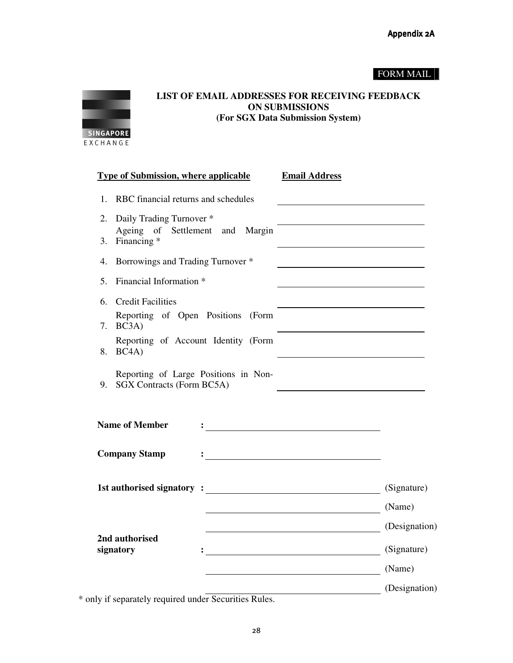## FORM MAIL



**LIST OF EMAIL ADDRESSES FOR RECEIVING FEEDBACK ON SUBMISSIONS (For SGX Data Submission System)** 

|    | <b>Type of Submission, where applicable</b>                       | <b>Email Address</b>                                                                                                                                                                                                                             |
|----|-------------------------------------------------------------------|--------------------------------------------------------------------------------------------------------------------------------------------------------------------------------------------------------------------------------------------------|
| 1. | RBC financial returns and schedules                               |                                                                                                                                                                                                                                                  |
| 2. | Daily Trading Turnover *                                          |                                                                                                                                                                                                                                                  |
| 3. | Ageing of Settlement and<br>Margin<br>Financing <sup>*</sup>      |                                                                                                                                                                                                                                                  |
| 4. | Borrowings and Trading Turnover *                                 |                                                                                                                                                                                                                                                  |
| 5. | Financial Information *                                           |                                                                                                                                                                                                                                                  |
| 6. | <b>Credit Facilities</b>                                          |                                                                                                                                                                                                                                                  |
| 7. | Reporting of Open Positions (Form<br>BC3A)                        |                                                                                                                                                                                                                                                  |
| 8. | Reporting of Account Identity (Form<br>BC4A)                      |                                                                                                                                                                                                                                                  |
| 9. | Reporting of Large Positions in Non-<br>SGX Contracts (Form BC5A) |                                                                                                                                                                                                                                                  |
|    | <b>Name of Member</b>                                             | <u>: and the company of the company of the company of the company of the company of the company of the company of the company of the company of the company of the company of the company of the company of the company of the c</u>             |
|    | <b>Company Stamp</b>                                              |                                                                                                                                                                                                                                                  |
|    |                                                                   | (Signature)                                                                                                                                                                                                                                      |
|    |                                                                   | (Name)                                                                                                                                                                                                                                           |
|    |                                                                   | (Designation)<br><u> 1989 - Johann Barbara, martxa eta politikar</u>                                                                                                                                                                             |
|    | 2nd authorised<br>signatory                                       | (Signature)<br>$\frac{1}{2}$ . The contract of the contract of the contract of the contract of the contract of the contract of the contract of the contract of the contract of the contract of the contract of the contract of the contract of t |
|    |                                                                   | (Name)                                                                                                                                                                                                                                           |
|    |                                                                   | (Designation)                                                                                                                                                                                                                                    |

\* only if separately required under Securities Rules.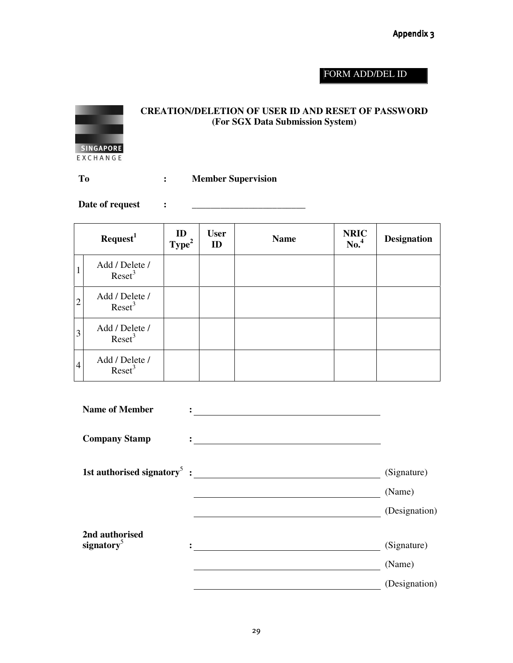## Appendix 3

## FORM ADD/DEL ID



## **CREATION/DELETION OF USER ID AND RESET OF PASSWORD (For SGX Data Submission System)**

**To : Member Supervision** 

Date of request :

|                | Required <sup>1</sup>              | ID<br>Type <sup>2</sup> | <b>User</b><br>ID | <b>Name</b> | <b>NRIC</b><br>$\mathrm{No.}^4$ | <b>Designation</b> |
|----------------|------------------------------------|-------------------------|-------------------|-------------|---------------------------------|--------------------|
|                | Add / Delete /<br>$\text{Reset}^3$ |                         |                   |             |                                 |                    |
| $\overline{2}$ | Add / Delete /<br>$\text{Reset}^3$ |                         |                   |             |                                 |                    |
| 3              | Add / Delete /<br>$\text{Reset}^3$ |                         |                   |             |                                 |                    |
| $\overline{4}$ | Add / Delete /<br>$\text{Reset}^3$ |                         |                   |             |                                 |                    |

| <b>Name of Member</b>                    |               |
|------------------------------------------|---------------|
| <b>Company Stamp</b>                     |               |
| 1st authorised signatory <sup>5</sup> :  | (Signature)   |
|                                          | (Name)        |
|                                          | (Designation) |
| 2nd authorised<br>signatory <sup>5</sup> | (Signature)   |
|                                          | (Name)        |
|                                          | (Designation) |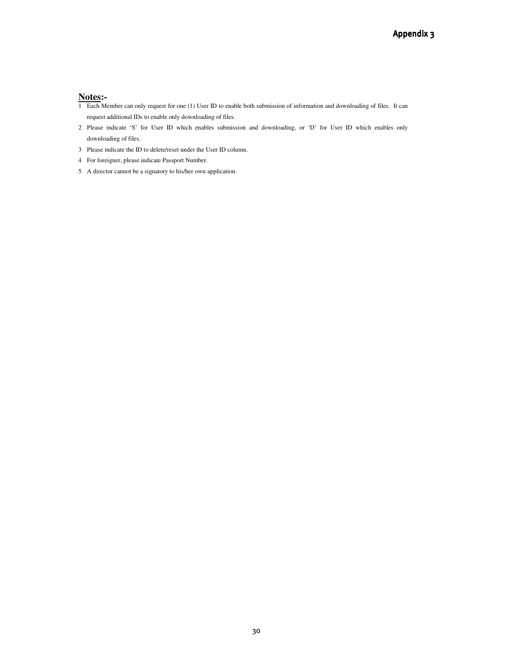#### **Notes:-**

- 1 Each Member can only request for one (1) User ID to enable both submission of information and downloading of files. It can request additional IDs to enable only downloading of files.
- 2 Please indicate 'S' for User ID which enables submission and downloading, or 'D' for User ID which enables only downloading of files.
- 3 Please indicate the ID to delete/reset under the User ID column.
- 4 For foreigner, please indicate Passport Number.
- 5 A director cannot be a signatory to his/her own application.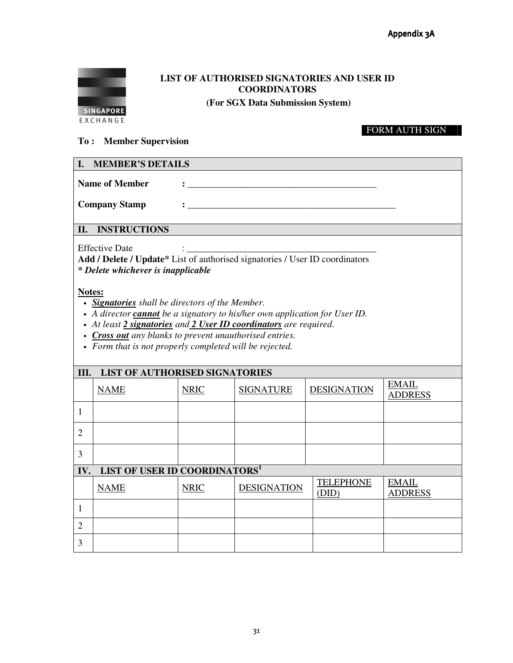

# **LIST OF AUTHORISED SIGNATORIES AND USER ID COORDINATORS**

 **(For SGX Data Submission System)** 

## FORM AUTH SIGN

## **To : Member Supervision**

| I. MEMBER'S DETAILS  |                                                                                                                                                                                                                                    |
|----------------------|------------------------------------------------------------------------------------------------------------------------------------------------------------------------------------------------------------------------------------|
| Name of Member       | о производите на селото на селото на селото на селото на селото на селото на селото на селото на селото на сел<br>Населението на селото на селото на селото на селото на селото на селото на селото на селото на селото на селот   |
| <b>Company Stamp</b> | $\mathcal{L}$ , and the contract of the contract of the contract of the contract of the contract of the contract of the contract of the contract of the contract of the contract of the contract of the contract of the contract o |
| II. INSTRUCTIONS     |                                                                                                                                                                                                                                    |

Effective Date

**Add / Delete / Update\*** List of authorised signatories / User ID coordinators *\* Delete whichever is inapplicable*

**Notes:**

- *Signatories shall be directors of the Member.*
- *A director cannot be a signatory to his/her own application for User ID.*
- *At least 2 signatories and 2 User ID coordinators are required.*
- *Cross out any blanks to prevent unauthorised entries.*
- *Form that is not properly completed will be rejected.*

|                | <b>LIST OF AUTHORISED SIGNATORIES</b><br>III. |             |                    |                           |                                |  |
|----------------|-----------------------------------------------|-------------|--------------------|---------------------------|--------------------------------|--|
|                | <b>NAME</b>                                   | <b>NRIC</b> | <b>SIGNATURE</b>   | <b>DESIGNATION</b>        | <b>EMAIL</b><br><b>ADDRESS</b> |  |
| 1              |                                               |             |                    |                           |                                |  |
| $\overline{2}$ |                                               |             |                    |                           |                                |  |
| 3              |                                               |             |                    |                           |                                |  |
| IV.            | LIST OF USER ID COORDINATORS <sup>1</sup>     |             |                    |                           |                                |  |
|                | <b>NAME</b>                                   | <b>NRIC</b> | <b>DESIGNATION</b> | <b>TELEPHONE</b><br>(DID) | <b>EMAIL</b><br><b>ADDRESS</b> |  |
| 1              |                                               |             |                    |                           |                                |  |
| $\overline{2}$ |                                               |             |                    |                           |                                |  |
| 3              |                                               |             |                    |                           |                                |  |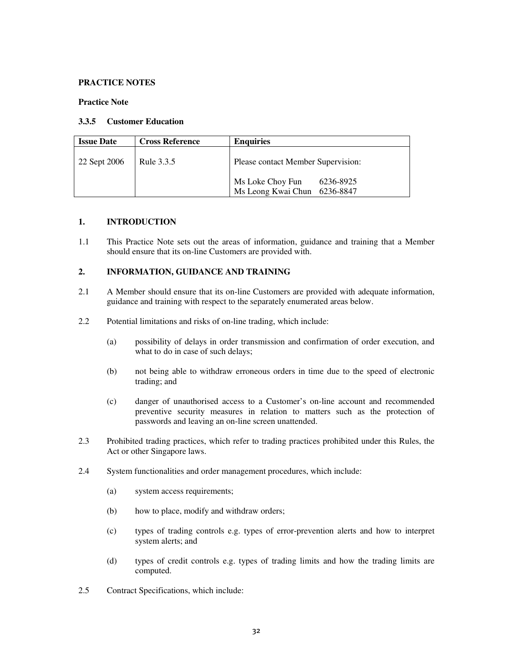#### **PRACTICE NOTES**

#### **Practice Note**

#### **3.3.5 Customer Education**

| <b>Issue Date</b> | <b>Cross Reference</b> | <b>Enquiries</b>                                                 |  |
|-------------------|------------------------|------------------------------------------------------------------|--|
| 22 Sept 2006      | Rule 3.3.5             | Please contact Member Supervision:                               |  |
|                   |                        | Ms Loke Choy Fun<br>6236-8925<br>Ms Leong Kwai Chun<br>6236-8847 |  |

### **1. INTRODUCTION**

1.1 This Practice Note sets out the areas of information, guidance and training that a Member should ensure that its on-line Customers are provided with.

### **2. INFORMATION, GUIDANCE AND TRAINING**

- 2.1 A Member should ensure that its on-line Customers are provided with adequate information, guidance and training with respect to the separately enumerated areas below.
- 2.2 Potential limitations and risks of on-line trading, which include:
	- (a) possibility of delays in order transmission and confirmation of order execution, and what to do in case of such delays;
	- (b) not being able to withdraw erroneous orders in time due to the speed of electronic trading; and
	- (c) danger of unauthorised access to a Customer's on-line account and recommended preventive security measures in relation to matters such as the protection of passwords and leaving an on-line screen unattended.
- 2.3 Prohibited trading practices, which refer to trading practices prohibited under this Rules, the Act or other Singapore laws.
- 2.4 System functionalities and order management procedures, which include:
	- (a) system access requirements;
	- (b) how to place, modify and withdraw orders;
	- (c) types of trading controls e.g. types of error-prevention alerts and how to interpret system alerts; and
	- (d) types of credit controls e.g. types of trading limits and how the trading limits are computed.
- 2.5 Contract Specifications, which include: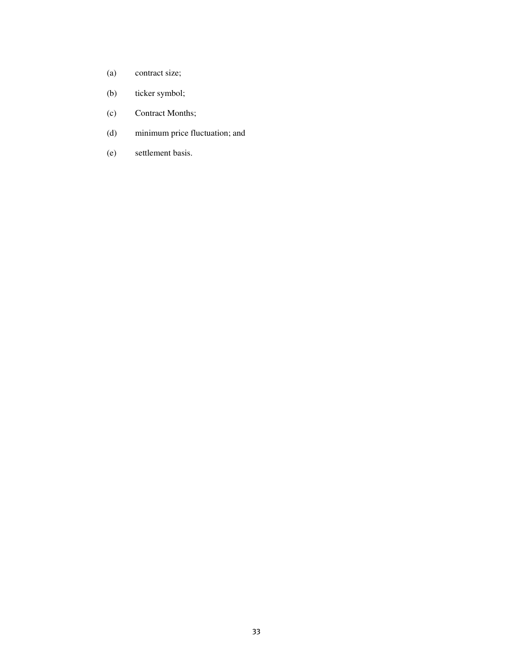- (a) contract size;
- (b) ticker symbol;
- (c) Contract Months;
- (d) minimum price fluctuation; and
- (e) settlement basis.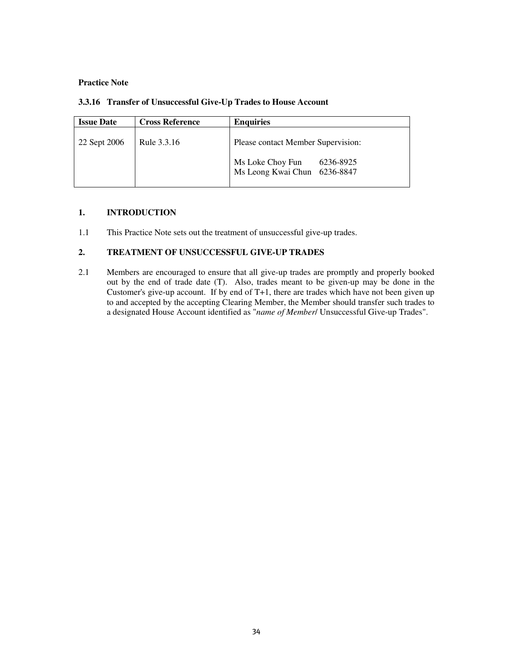#### **Practice Note**

| <b>Issue Date</b> | <b>Cross Reference</b> | <b>Enquiries</b>                                                                                    |
|-------------------|------------------------|-----------------------------------------------------------------------------------------------------|
| 22 Sept 2006      | Rule 3.3.16            | Please contact Member Supervision:<br>Ms Loke Choy Fun<br>6236-8925<br>Ms Leong Kwai Chun 6236-8847 |

## **3.3.16 Transfer of Unsuccessful Give-Up Trades to House Account**

## **1. INTRODUCTION**

1.1 This Practice Note sets out the treatment of unsuccessful give-up trades.

## **2. TREATMENT OF UNSUCCESSFUL GIVE-UP TRADES**

2.1 Members are encouraged to ensure that all give-up trades are promptly and properly booked out by the end of trade date (T). Also, trades meant to be given-up may be done in the Customer's give-up account. If by end of T+1, there are trades which have not been given up to and accepted by the accepting Clearing Member, the Member should transfer such trades to a designated House Account identified as "*name of Member*/ Unsuccessful Give-up Trades".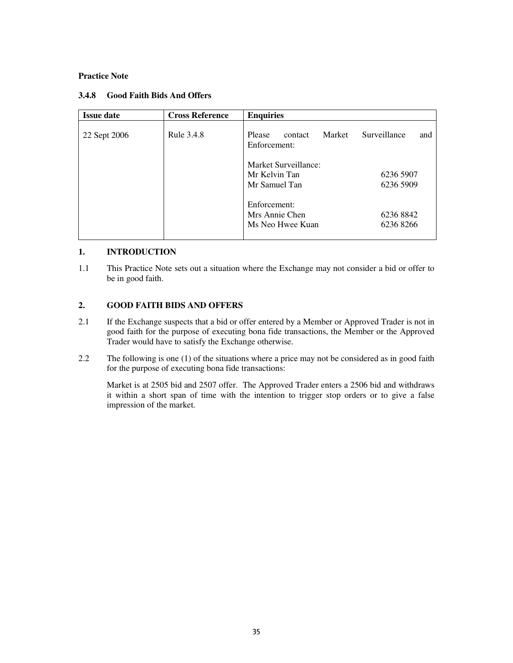#### **Practice Note**

| <b>Issue date</b> | <b>Cross Reference</b> | <b>Enquiries</b>                                       |                        |
|-------------------|------------------------|--------------------------------------------------------|------------------------|
| 22 Sept 2006      | Rule 3.4.8             | Market<br>Please<br>contact<br>Enforcement:            | Surveillance<br>and    |
|                   |                        | Market Surveillance:<br>Mr Kelvin Tan<br>Mr Samuel Tan | 6236 5907<br>6236 5909 |
|                   |                        | Enforcement:<br>Mrs Annie Chen<br>Ms Neo Hwee Kuan     | 6236 8842<br>62368266  |

#### **3.4.8 Good Faith Bids And Offers**

### **1. INTRODUCTION**

1.1 This Practice Note sets out a situation where the Exchange may not consider a bid or offer to be in good faith.

### **2. GOOD FAITH BIDS AND OFFERS**

- 2.1 If the Exchange suspects that a bid or offer entered by a Member or Approved Trader is not in good faith for the purpose of executing bona fide transactions, the Member or the Approved Trader would have to satisfy the Exchange otherwise.
- 2.2 The following is one (1) of the situations where a price may not be considered as in good faith for the purpose of executing bona fide transactions:

Market is at 2505 bid and 2507 offer. The Approved Trader enters a 2506 bid and withdraws it within a short span of time with the intention to trigger stop orders or to give a false impression of the market.